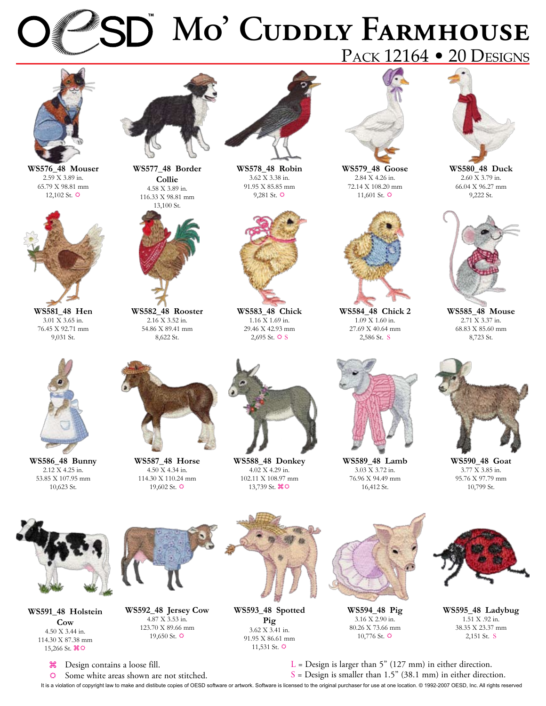# **Mo' Cuddly Farmhouse** PACK 12164 • 20 DESIGNS

**WS578\_48 Robin** 3.62 X 3.38 in. 91.95 X 85.85 mm 9,281 St.  $\ddot{\mathbf{\Omega}}$ 



**WS576\_48 Mouser** 2.59 X 3.89 in. 65.79 X 98.81 mm 12,102 St.  $\Leftrightarrow$ 



**WS581\_48 Hen** 3.01 X 3.65 in. 76.45 X 92.71 mm 9,031 St.



**WS586\_48 Bunny** 2.12 X 4.25 in. 53.85 X 107.95 mm 10,623 St.



**WS577\_48 Border Collie** 4.58 X 3.89 in. 116.33 X 98.81 mm



**WS582\_48 Rooster** 2.16 X 3.52 in. 54.86 X 89.41 mm 8,622 St.



**WS587\_48 Horse** 4.50 X 4.34 in. 114.30 X 110.24 mm 19,602 St.  $\Leftrightarrow$ 



**WS583\_48 Chick** 1.16 X 1.69 in. 29.46 X 42.93 mm

**WS588\_48 Donkey** 4.02 X 4.29 in. 102.11 X 108.97 mm 13,739 St.  $\mathcal{H} \Phi$ 



**WS579\_48 Goose** 2.84 X 4.26 in. 72.14 X 108.20 mm 11,601 St.  $\Leftrightarrow$ 



**WS584\_48 Chick 2** 1.09 X 1.60 in. 27.69 X 40.64 mm 2,586 St. S



**WS580\_48 Duck** 2.60 X 3.79 in. 66.04 X 96.27 mm 9,222 St.



**WS585\_48 Mouse** 2.71 X 3.37 in. 68.83 X 85.60 mm 8,723 St.



**WS590\_48 Goat** 3.77 X 3.85 in. 95.76 X 97.79 mm 10,799 St.



**WS591\_48 Holstein Cow** 4.50 X 3.44 in. 114.30 X 87.38 mm 15,266 St.  $\mathcal{H} \mathfrak{D}$ 



**WS593\_48 Spotted Pig** 3.62 X 3.41 in. 91.95 X 86.61 mm 11,531 St.  $\ddot{\mathbf{Q}}$ 



**WS589\_48 Lamb** 3.03 X 3.72 in. 76.96 X 94.49 mm 16,412 St.

**WS594\_48 Pig** 3.16 X 2.90 in. 80.26 X 73.66 mm  $10,776$  St.  $\Leftrightarrow$ 



**WS595\_48 Ladybug** 1.51 X .92 in. 38.35 X 23.37 mm 2,151 St. S

 $L =$  Design is larger than 5" (127 mm) in either direction.

 $\frac{1}{26}$  Design contains a loose fill.  $\Leftrightarrow$  Some white areas shown are not stitched.

It is a violation of copyright law to make and distibute copies of OESD software or artwork. Software is licensed to the original purchaser for use at one location. © 1992-2007 OESD, Inc. All rights reserved  $S =$  Design is smaller than 1.5" (38.1 mm) in either direction.